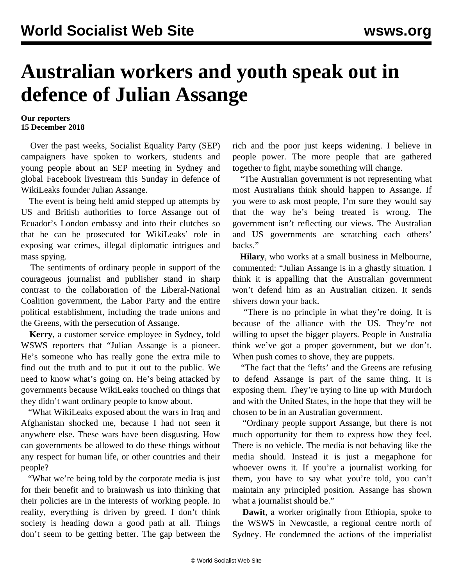## **Australian workers and youth speak out in defence of Julian Assange**

## **Our reporters 15 December 2018**

 Over the past weeks, Socialist Equality Party (SEP) campaigners have spoken to workers, students and young people about an SEP [meeting](/en/articles/2018/11/28/assa-n28.html) in Sydney and global Facebook livestream this Sunday in defence of WikiLeaks founder Julian Assange.

 The event is being held amid stepped up attempts by US and British authorities to force Assange out of Ecuador's London embassy and into their clutches so that he can be prosecuted for WikiLeaks' role in exposing war crimes, illegal diplomatic intrigues and mass spying.

 The sentiments of ordinary people in support of the courageous journalist and publisher stand in sharp contrast to the collaboration of the Liberal-National Coalition government, the Labor Party and the entire political establishment, including the trade unions and the Greens, with the persecution of Assange.

 **Kerry**, a customer service employee in Sydney, told WSWS reporters that "Julian Assange is a pioneer. He's someone who has really gone the extra mile to find out the truth and to put it out to the public. We need to know what's going on. He's being attacked by governments because WikiLeaks touched on things that they didn't want ordinary people to know about.

 "What WikiLeaks exposed about the wars in Iraq and Afghanistan shocked me, because I had not seen it anywhere else. These wars have been disgusting. How can governments be allowed to do these things without any respect for human life, or other countries and their people?

 "What we're being told by the corporate media is just for their benefit and to brainwash us into thinking that their policies are in the interests of working people. In reality, everything is driven by greed. I don't think society is heading down a good path at all. Things don't seem to be getting better. The gap between the rich and the poor just keeps widening. I believe in people power. The more people that are gathered together to fight, maybe something will change.

 "The Australian government is not representing what most Australians think should happen to Assange. If you were to ask most people, I'm sure they would say that the way he's being treated is wrong. The government isn't reflecting our views. The Australian and US governments are scratching each others' backs."

 **Hilary**, who works at a small business in Melbourne, commented: "Julian Assange is in a ghastly situation. I think it is appalling that the Australian government won't defend him as an Australian citizen. It sends shivers down your back.

 "There is no principle in what they're doing. It is because of the alliance with the US. They're not willing to upset the bigger players. People in Australia think we've got a proper government, but we don't. When push comes to shove, they are puppets.

 "The fact that the 'lefts' and the Greens are refusing to defend Assange is part of the same thing. It is exposing them. They're trying to line up with Murdoch and with the United States, in the hope that they will be chosen to be in an Australian government.

 "Ordinary people support Assange, but there is not much opportunity for them to express how they feel. There is no vehicle. The media is not behaving like the media should. Instead it is just a megaphone for whoever owns it. If you're a journalist working for them, you have to say what you're told, you can't maintain any principled position. Assange has shown what a journalist should be."

 **Dawit**, a worker originally from Ethiopia, spoke to the WSWS in Newcastle, a regional centre north of Sydney. He condemned the actions of the imperialist